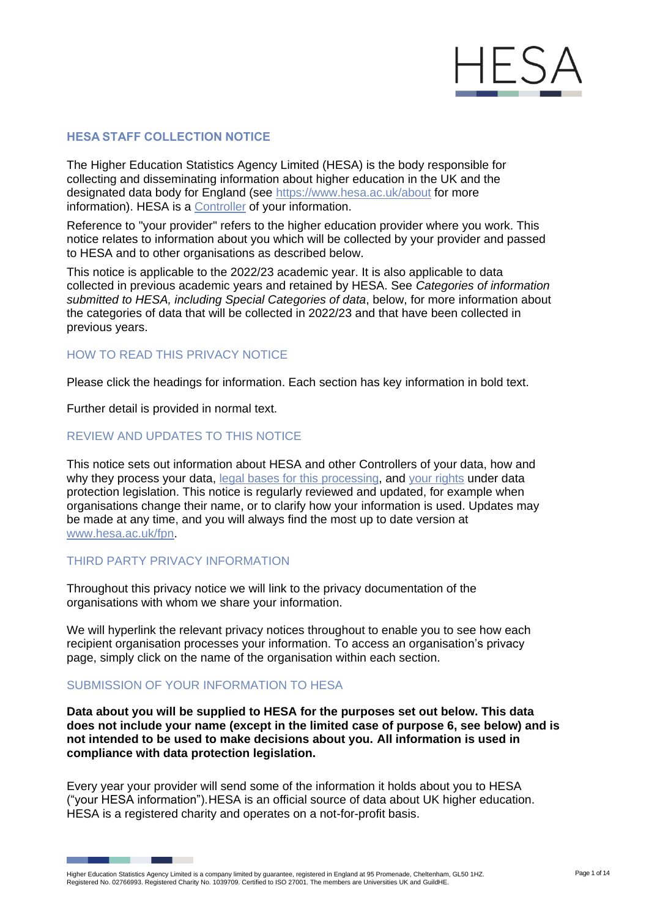

# **HESA STAFF COLLECTION NOTICE**

The Higher Education Statistics Agency Limited (HESA) is the body responsible for collecting and disseminating information about higher education in the UK and the designated data body for England (see <https://www.hesa.ac.uk/about> for more information). HESA is a [Controller](https://ico.org.uk/for-organisations/guide-to-data-protection/guide-to-the-general-data-protection-regulation-gdpr/key-definitions/controllers-and-processors/) of your information.

Reference to "your provider" refers to the higher education provider where you work. This notice relates to information about you which will be collected by your provider and passed to HESA and to other organisations as described below.

This notice is applicable to the 2022/23 academic year. It is also applicable to data collected in previous academic years and retained by HESA. See *Categories of information submitted to HESA, including Special Categories of data*, below, for more information about the categories of data that will be collected in 2022/23 and that have been collected in previous years.

#### HOW TO READ THIS PRIVACY NOTICE

Please click the headings for information. Each section has key information in bold text.

Further detail is provided in normal text.

# REVIEW AND UPDATES TO THIS NOTICE

This notice sets out information about HESA and other Controllers of your data, how and why they process your data, [legal bases for this processing,](https://ico.org.uk/for-organisations/guide-to-data-protection/guide-to-the-general-data-protection-regulation-gdpr/lawful-basis-for-processing/) and [your rights](https://ico.org.uk/for-organisations/guide-to-data-protection/guide-to-the-general-data-protection-regulation-gdpr/individual-rights/) under data protection legislation. This notice is regularly reviewed and updated, for example when organisations change their name, or to clarify how your information is used. Updates may be made at any time, and you will always find the most up to date version at [www.hesa.ac.uk/fpn.](https://www.hesa.ac.uk/fpn)

#### THIRD PARTY PRIVACY INFORMATION

Throughout this privacy notice we will link to the privacy documentation of the organisations with whom we share your information.

We will hyperlink the relevant privacy notices throughout to enable you to see how each recipient organisation processes your information. To access an organisation's privacy page, simply click on the name of the organisation within each section.

#### SUBMISSION OF YOUR INFORMATION TO HESA

**Data about you will be supplied to HESA for the purposes set out below. This data does not include your name (except in the limited case of purpose 6, see below) and is not intended to be used to make decisions about you. All information is used in compliance with data protection legislation.**

Every year your provider will send some of the information it holds about you to HESA ("your HESA information").HESA is an official source of data about UK higher education. HESA is a registered charity and operates on a not-for-profit basis.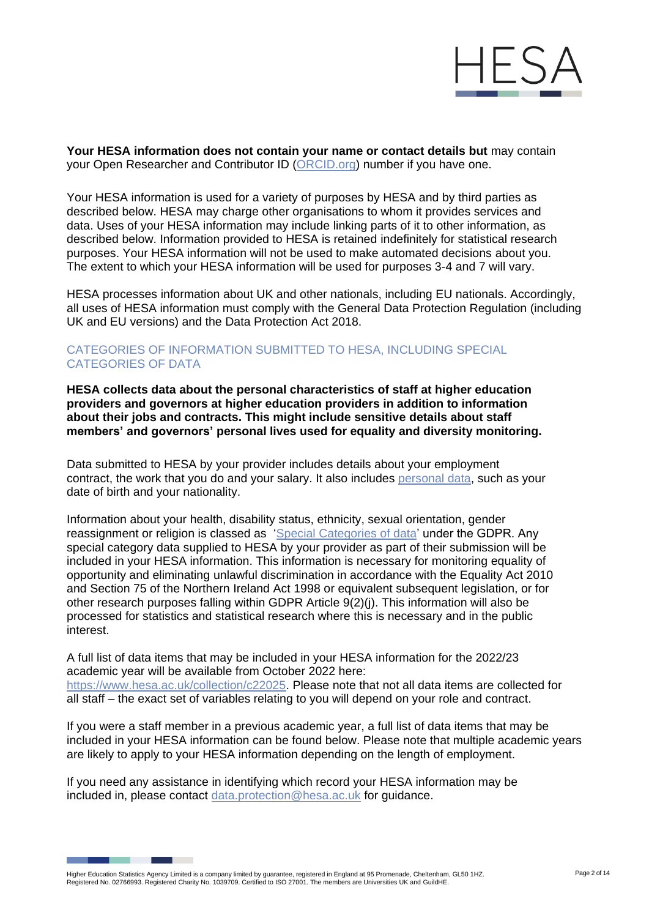

**Your HESA information does not contain your name or contact details but** may contain your Open Researcher and Contributor ID [\(ORCID.org\)](http://orcid.org/) number if you have one.

Your HESA information is used for a variety of purposes by HESA and by third parties as described below. HESA may charge other organisations to whom it provides services and data. Uses of your HESA information may include linking parts of it to other information, as described below. Information provided to HESA is retained indefinitely for statistical research purposes. Your HESA information will not be used to make automated decisions about you. The extent to which your HESA information will be used for purposes 3-4 and 7 will vary.

HESA processes information about UK and other nationals, including EU nationals. Accordingly, all uses of HESA information must comply with the General Data Protection Regulation (including UK and EU versions) and the Data Protection Act 2018.

#### CATEGORIES OF INFORMATION SUBMITTED TO HESA, INCLUDING SPECIAL CATEGORIES OF DATA

**HESA collects data about the personal characteristics of staff at higher education providers and governors at higher education providers in addition to information about their jobs and contracts. This might include sensitive details about staff members' and governors' personal lives used for equality and diversity monitoring.**

Data submitted to HESA by your provider includes details about your employment contract, the work that you do and your salary. It also includes [personal data,](https://ico.org.uk/for-organisations/guide-to-data-protection/guide-to-the-general-data-protection-regulation-gdpr/key-definitions/what-is-personal-data/) such as your date of birth and your nationality.

Information about your health, disability status, ethnicity, sexual orientation, gender reassignment or religion is classed as ['Special Categories of data'](https://ico.org.uk/for-organisations/guide-to-data-protection/guide-to-the-general-data-protection-regulation-gdpr/lawful-basis-for-processing/special-category-data/) under the GDPR. Any special category data supplied to HESA by your provider as part of their submission will be included in your HESA information. This information is necessary for monitoring equality of opportunity and eliminating unlawful discrimination in accordance with the Equality Act 2010 and Section 75 of the Northern Ireland Act 1998 or equivalent subsequent legislation, or for other research purposes falling within GDPR Article 9(2)(j). This information will also be processed for statistics and statistical research where this is necessary and in the public interest.

A full list of data items that may be included in your HESA information for the 2022/23 academic year will be available from October 2022 here: [https://www.hesa.ac.uk/collection/c22025.](https://www.hesa.ac.uk/collection/c22025) Please note that not all data items are collected for all staff – the exact set of variables relating to you will depend on your role and contract.

If you were a staff member in a previous academic year, a full list of data items that may be included in your HESA information can be found below. Please note that multiple academic years are likely to apply to your HESA information depending on the length of employment.

If you need any assistance in identifying which record your HESA information may be included in, please contact [data.protection@hesa.ac.uk](mailto:data.protection@hesa.ac.uk) for guidance.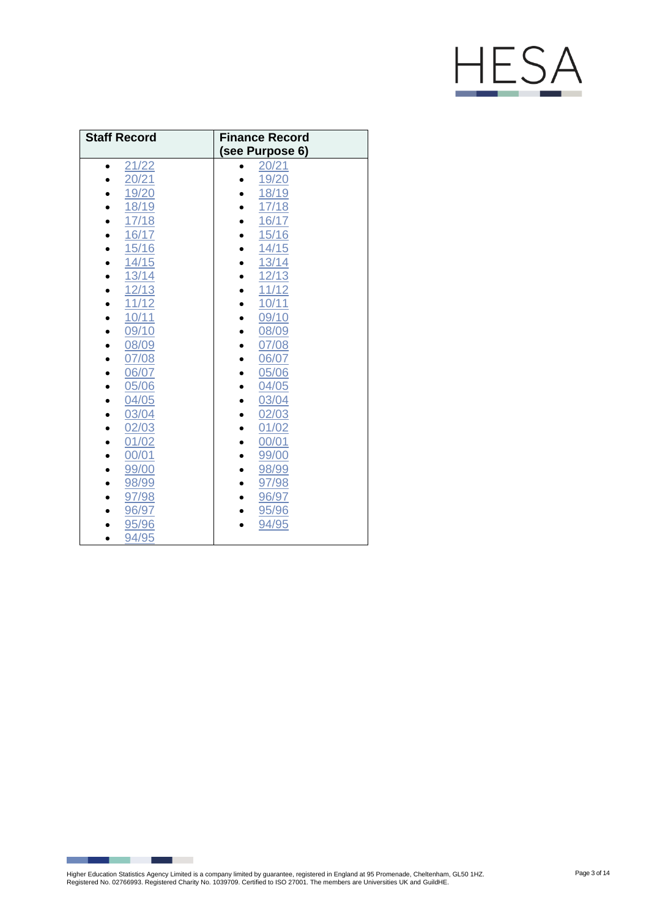# HESA

| <b>Staff Record</b> | <b>Finance Record</b><br>(see Purpose 6) |
|---------------------|------------------------------------------|
| 21/22               | 20/21                                    |
| 20/21               | 19/20                                    |
| 19/20               | 18/19                                    |
| 18/19               | 17/18                                    |
| 17/18               | 16/17                                    |
| 16/17               | 15/16                                    |
| 15/16               | 14/15                                    |
| 14/15<br>$\bullet$  | 13/14                                    |
| 13/14<br>$\bullet$  | 12/13<br>$\bullet$                       |
| 12/13               | 11/12                                    |
| 11/12               | 10/11                                    |
| 10/11               | 09/10                                    |
| 09/10               | 08/09                                    |
| 08/09               | 07/08                                    |
| 07/08               | 06/07                                    |
| 06/07               | 05/06                                    |
| 05/06               | 04/05                                    |
| 04/05               | 03/04                                    |
| 03/04               | 02/03                                    |
| 02/03               | 01/02                                    |
| 01/02               | 00/01                                    |
| 00/01               | 99/00                                    |
| 99/00               | 98/99                                    |
| 98/99               | 97/98<br>$\bullet$                       |
| 97/98               | 96/97<br>٠                               |
| 96/97               | 95/96                                    |
| 95/96               | 94/95                                    |
| 94/95               |                                          |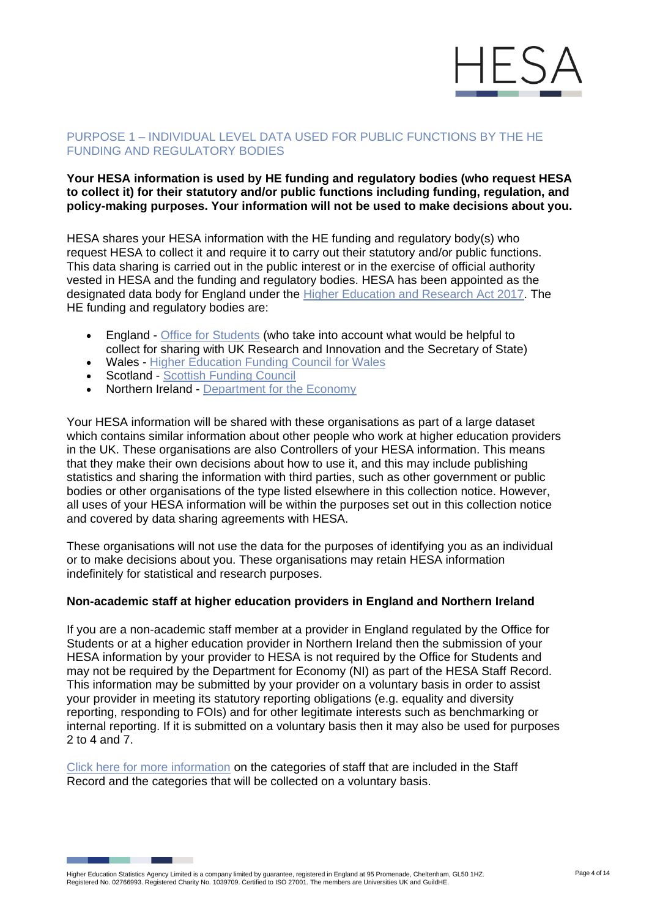

# PURPOSE 1 – INDIVIDUAL LEVEL DATA USED FOR PUBLIC FUNCTIONS BY THE HE FUNDING AND REGULATORY BODIES

# **Your HESA information is used by HE funding and regulatory bodies (who request HESA to collect it) for their statutory and/or public functions including funding, regulation, and policy-making purposes. Your information will not be used to make decisions about you.**

HESA shares your HESA information with the HE funding and regulatory body(s) who request HESA to collect it and require it to carry out their statutory and/or public functions. This data sharing is carried out in the public interest or in the exercise of official authority vested in HESA and the funding and regulatory bodies. HESA has been appointed as the designated data body for England under the [Higher Education and Research Act 2017. T](http://www.legislation.gov.uk/ukpga/2017/29/contents/enacted)he HE funding and regulatory bodies are:

- England [Office for Students](https://www.officeforstudents.org.uk/privacy/) (who take into account what would be helpful to collect for sharing with UK Research and Innovation and the Secretary of State)
- Wales [Higher Education](https://www.hefcw.ac.uk/en/about-us/operational-policies/hefcw-privacy-notice/) Funding Council for Wales
- Scotland [Scottish Funding Council](http://www.sfc.ac.uk/about-sfc/how-we-operate/access-information/privacy-notice/privacy.aspx)
- Northern Ireland Department [for the Economy](https://www.economy-ni.gov.uk/dfe-privacy-notice)

Your HESA information will be shared with these organisations as part of a large dataset which contains similar information about other people who work at higher education providers in the UK. These organisations are also Controllers of your HESA information. This means that they make their own decisions about how to use it, and this may include publishing statistics and sharing the information with third parties, such as other government or public bodies or other organisations of the type listed elsewhere in this collection notice. However, all uses of your HESA information will be within the purposes set out in this collection notice and covered by data sharing agreements with HESA.

These organisations will not use the data for the purposes of identifying you as an individual or to make decisions about you. These organisations may retain HESA information indefinitely for statistical and research purposes.

# **Non-academic staff at higher education providers in England and Northern Ireland**

If you are a non-academic staff member at a provider in England regulated by the Office for Students or at a higher education provider in Northern Ireland then the submission of your HESA information by your provider to HESA is not required by the Office for Students and may not be required by the Department for Economy (NI) as part of the HESA Staff Record. This information may be submitted by your provider on a voluntary basis in order to assist your provider in meeting its statutory reporting obligations (e.g. equality and diversity reporting, responding to FOIs) and for other legitimate interests such as benchmarking or internal reporting. If it is submitted on a voluntary basis then it may also be used for purposes 2 to 4 and 7.

[Click here for more information](https://www.hesa.ac.uk/collection/c21025/coverage) on the categories of staff that are included in the Staff Record and the categories that will be collected on a voluntary basis.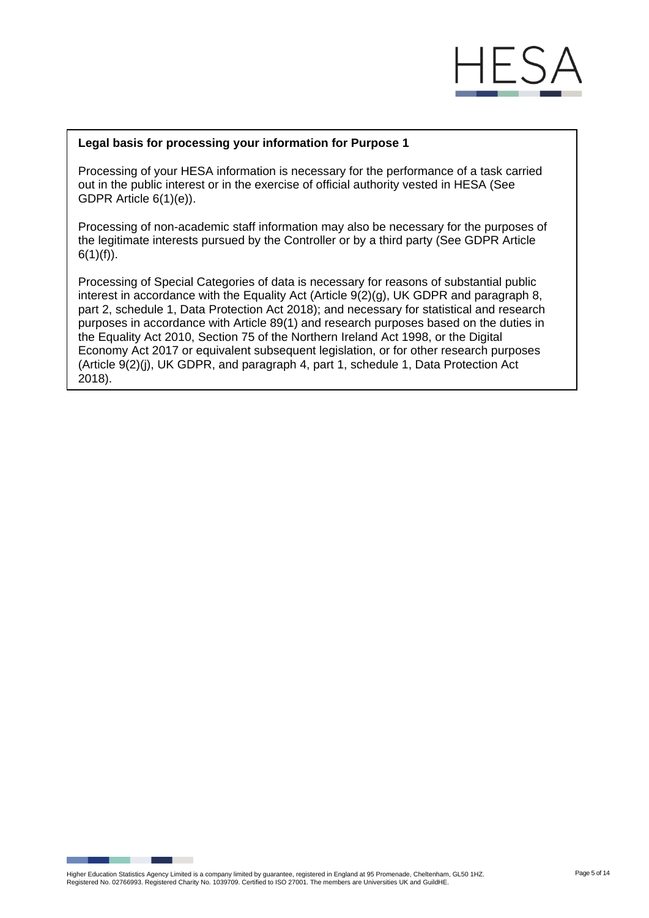# F

#### **Legal basis for processing your information for Purpose 1**

Processing of your HESA information is necessary for the performance of a task carried out in the public interest or in the exercise of official authority vested in HESA (See GDPR Article 6(1)(e)).

Processing of non-academic staff information may also be necessary for the purposes of the legitimate interests pursued by the Controller or by a third party (See GDPR Article  $6(1)(f)$ ).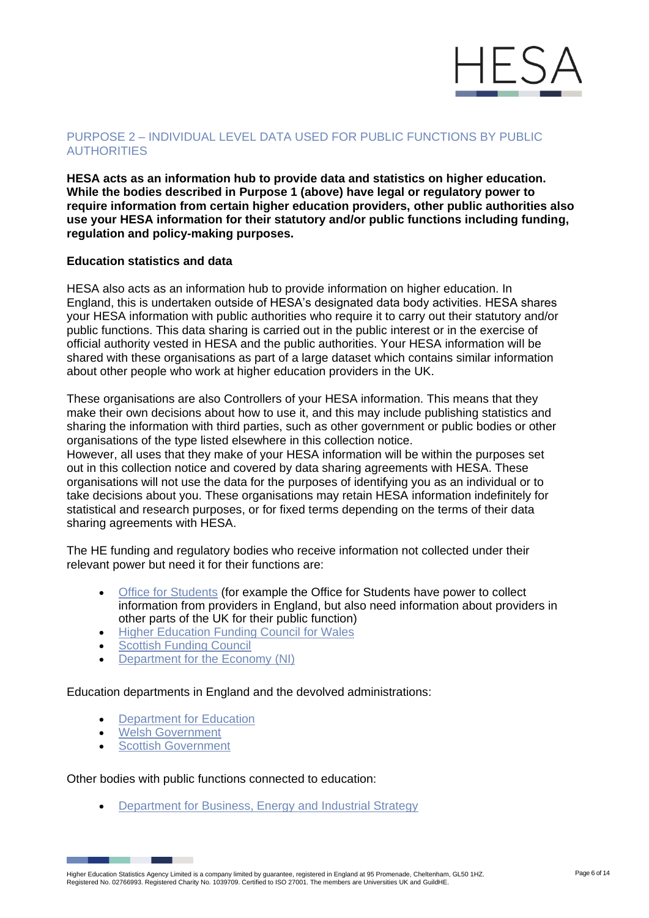

# PURPOSE 2 – INDIVIDUAL LEVEL DATA USED FOR PUBLIC FUNCTIONS BY PUBLIC **AUTHORITIES**

**HESA acts as an information hub to provide data and statistics on higher education. While the bodies described in Purpose 1 (above) have legal or regulatory power to require information from certain higher education providers, other public authorities also use your HESA information for their statutory and/or public functions including funding, regulation and policy-making purposes.**

#### **Education statistics and data**

HESA also acts as an information hub to provide information on higher education. In England, this is undertaken outside of HESA's designated data body activities. HESA shares your HESA information with public authorities who require it to carry out their statutory and/or public functions. This data sharing is carried out in the public interest or in the exercise of official authority vested in HESA and the public authorities. Your HESA information will be shared with these organisations as part of a large dataset which contains similar information about other people who work at higher education providers in the UK.

These organisations are also Controllers of your HESA information. This means that they make their own decisions about how to use it, and this may include publishing statistics and sharing the information with third parties, such as other government or public bodies or other organisations of the type listed elsewhere in this collection notice.

However, all uses that they make of your HESA information will be within the purposes set out in this collection notice and covered by data sharing agreements with HESA. These organisations will not use the data for the purposes of identifying you as an individual or to take decisions about you. These organisations may retain HESA information indefinitely for statistical and research purposes, or for fixed terms depending on the terms of their data sharing agreements with HESA.

The HE funding and regulatory bodies who receive information not collected under their relevant power but need it for their functions are:

- [Office for Students](https://www.officeforstudents.org.uk/privacy/) (for example the Office for Students have power to collect information from providers in England, but also need information about providers in other parts of the UK for their public function)
- [Higher Education Funding Council](https://www.hefcw.ac.uk/en/about-us/operational-policies/hefcw-privacy-notice/) for Wales
- **Scottish [Funding Council](http://www.sfc.ac.uk/about-sfc/how-we-operate/access-information/privacy-notice/privacy.aspx)**
- **[Department](https://www.economy-ni.gov.uk/dfe-privacy-notice) for the Economy (NI)**

Education departments in England and the devolved administrations:

- Department [for Education](https://www.gov.uk/guidance/data-protection-how-we-collect-and-share-research-data)
- Welsh [Government](https://gov.wales/higher-education-statistics-agency-hesa-staff-data-collection)
- **Scottish [Government](http://www.gov.scot/Topics/Statistics/ScotXed/PrivacyInformation)**

Other bodies with public functions connected to education:

• Department for Business, Energy [and Industrial Strategy](https://www.gov.uk/government/organisations/department-for-business-energy-and-industrial-strategy/about/personal-information-charter)

Higher Education Statistics Agency Limited is a company limited by guarantee, registered in England at 95 Promenade, Cheltenham, GL50 1HZ.<br>Registered No. 02766993. Registered Charity No. 1039709. Certified to ISO 27001. Th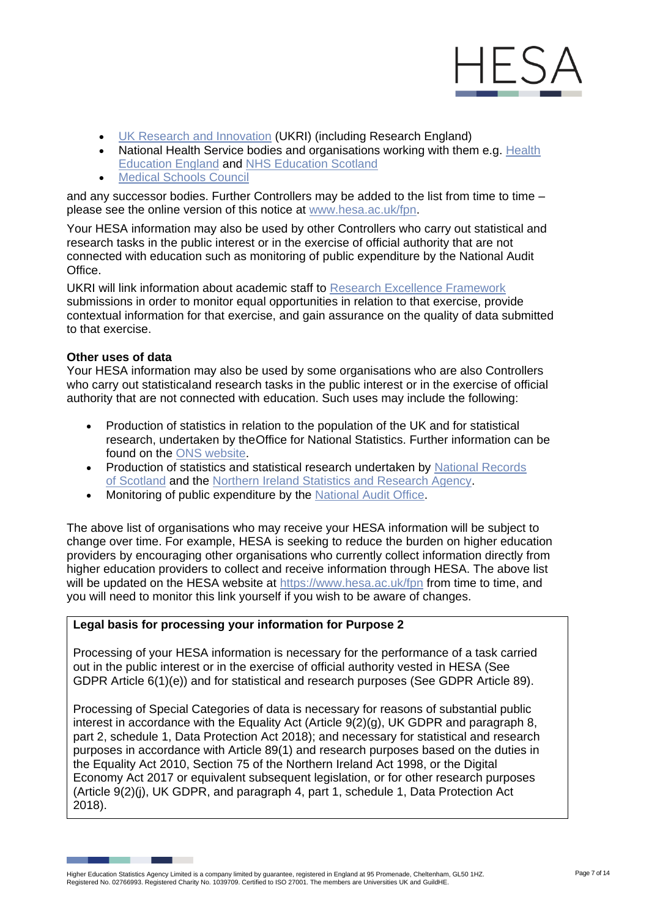

- UK Research and [Innovation](https://www.ukri.org/privacy-notice/) (UKRI) (including Research England)
- National [Health](https://hee.nhs.uk/about/privacy-notice) Service bodies and organisations working with them e.g. Health [Education England](https://hee.nhs.uk/about/privacy-notice) and [NHS Education Scotland](https://www.nes.scot.nhs.uk/legal-and-site-information/privacy/)
- Medical [Schools Council](https://www.medschools.ac.uk/privacy-statement)

and any successor bodies. Further Controllers may be added to the list from time to time – please see the online version of this notice at [www.hesa.ac.uk/fpn.](https://www.hesa.ac.uk/fpn)

Your HESA information may also be used by other Controllers who carry out statistical and research tasks in the public interest or in the exercise of official authority that are not connected with education such as monitoring of public expenditure by the National Audit Office.

UKRI will link information about academic staff to [Research Excellence Framework](https://www.ref.ac.uk/) submissions in order to monitor equal opportunities in relation to that exercise, provide contextual information for that exercise, and gain assurance on the quality of data submitted to that exercise.

# **Other uses of data**

Your HESA information may also be used by some organisations who are also Controllers who carry out statisticaland research tasks in the public interest or in the exercise of official authority that are not connected with education. Such uses may include the following:

- Production of statistics in relation to the population of the UK and for statistical research, undertaken by theOffice for National Statistics. Further information can be found on the ONS [website.](https://www.ons.gov.uk/aboutus/transparencyandgovernance/dataprotection)
- Production of statistics and statistical research undertaken by National Records [of Scotland](https://www.nrscotland.gov.uk/Privacy) and the Northern [Ireland Statistics](https://www.nisra.gov.uk/nisra-privacy-notice) and Research Agency.
- Monitoring of public expenditure by the [National Audit](https://www.nao.org.uk/privacy-policy-and-cookies-statement/) Office.

The above list of organisations who may receive your HESA information will be subject to change over time. For example, HESA is seeking to reduce the burden on higher education providers by encouraging other organisations who currently collect information directly from higher education providers to collect and receive information through HESA. The above list will be updated on the HESA website at<https://www.hesa.ac.uk/fpn> from time to time, and you will need to monitor this link yourself if you wish to be aware of changes.

# **Legal basis for processing your information for Purpose 2**

Processing of your HESA information is necessary for the performance of a task carried out in the public interest or in the exercise of official authority vested in HESA (See GDPR Article 6(1)(e)) and for statistical and research purposes (See GDPR Article 89).

Higher Education Statistics Agency Limited is a company limited by guarantee, registered in England at 95 Promenade, Cheltenham, GL50 1HZ.<br>Registered No. 02766993. Registered Charity No. 1039709. Certified to ISO 27001. Th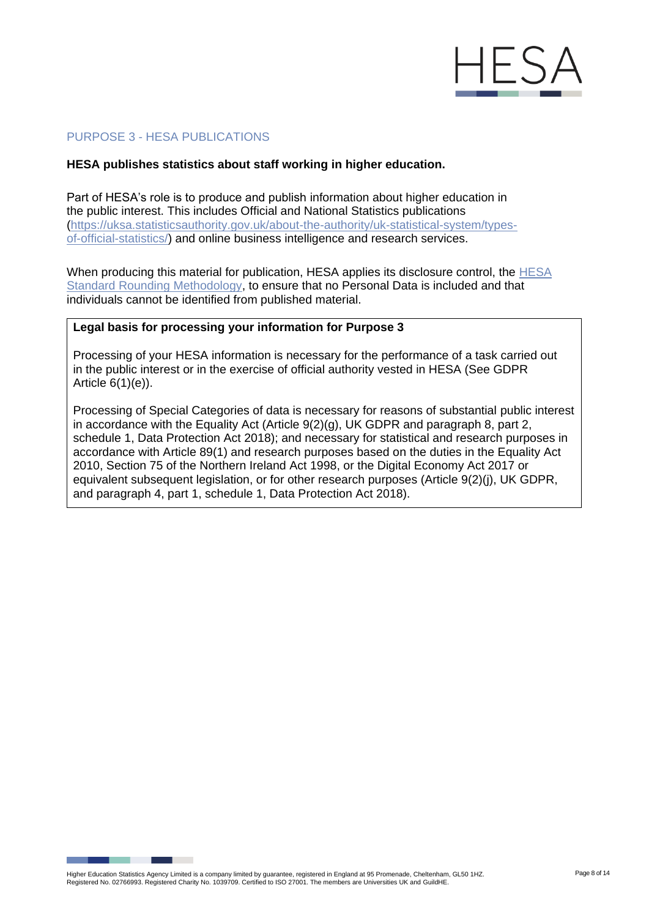

# PURPOSE 3 - HESA PUBLICATIONS

#### **HESA publishes statistics about staff working in higher education.**

Part of HESA's role is to produce and publish information about higher education in the public interest. This includes Official and National Statistics publications [\(https://uksa.statisticsauthority.gov.uk/about-the-authority/uk-statistical-system/types](https://uksa.statisticsauthority.gov.uk/about-the-authority/uk-statistical-system/types-of-official-statistics/)[of-official-statistics/\)](https://uksa.statisticsauthority.gov.uk/about-the-authority/uk-statistical-system/types-of-official-statistics/) and online business intelligence and research services.

When producing this material for publication, HESA applies its disclosure control, the [HESA](https://www.hesa.ac.uk/about/regulation/data-protection/rounding-and-suppression-anonymise-statistics)  [Standard Rounding](https://www.hesa.ac.uk/about/regulation/data-protection/rounding-and-suppression-anonymise-statistics) Methodology, to ensure that no Personal Data is included and that individuals cannot be identified from published material.

# **Legal basis for processing your information for Purpose 3**

Processing of your HESA information is necessary for the performance of a task carried out in the public interest or in the exercise of official authority vested in HESA (See GDPR Article 6(1)(e)).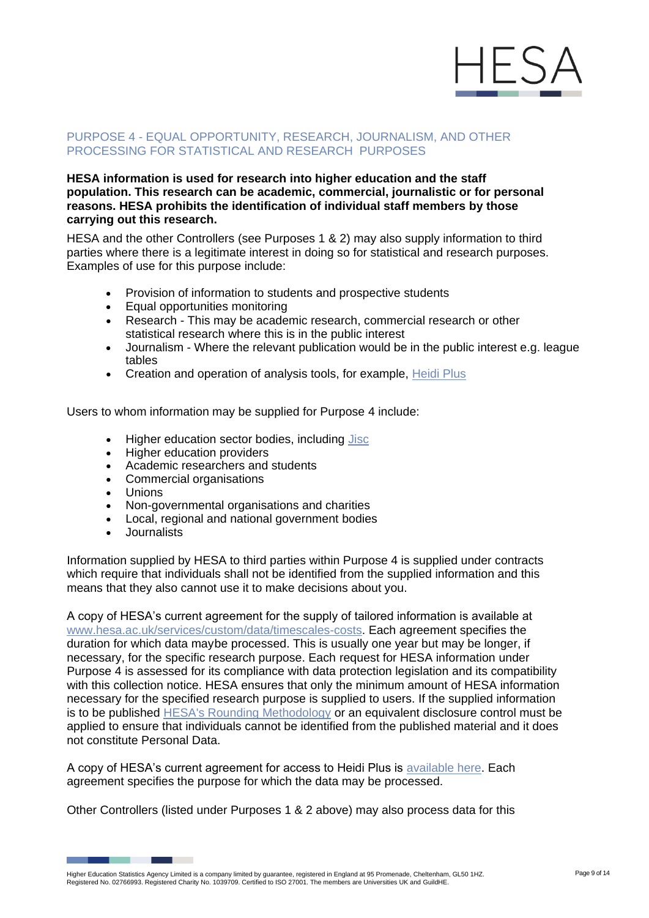

#### PURPOSE 4 - EQUAL OPPORTUNITY, RESEARCH, JOURNALISM, AND OTHER PROCESSING FOR STATISTICAL AND RESEARCH PURPOSES

#### **HESA information is used for research into higher education and the staff population. This research can be academic, commercial, journalistic or for personal reasons. HESA prohibits the identification of individual staff members by those carrying out this research.**

HESA and the other Controllers (see Purposes 1 & 2) may also supply information to third parties where there is a legitimate interest in doing so for statistical and research purposes. Examples of use for this purpose include:

- Provision of information to students and prospective students
- Equal opportunities monitoring
- Research This may be academic research, commercial research or other statistical research where this is in the public interest
- Journalism Where the relevant publication would be in the public interest e.g. league tables
- Creation and operation of analysis tools, for example, [Heidi Plus](https://www.jisc.ac.uk/heidi-plus)

Users to whom information may be supplied for Purpose 4 include:

- Higher education sector bodies, including [Jisc](https://www.jisc.ac.uk/analytics/jisc-and-hesa-data-protection)
- Higher education providers
- Academic researchers and students
- Commercial organisations
- Unions
- Non-governmental organisations and charities
- Local, regional and national government bodies
- Journalists

Information supplied by HESA to third parties within Purpose 4 is supplied under contracts which require that individuals shall not be identified from the supplied information and this means that they also cannot use it to make decisions about you.

A copy of HESA's current agreement for the supply of tailored information is available at [www.hesa.ac.uk/services/custom/data/timescales-costs. E](https://www.hesa.ac.uk/services/custom/data/timescales-costs)ach agreement specifies the duration for which data maybe processed. This is usually one year but may be longer, if necessary, for the specific research purpose. Each request for HESA information under Purpose 4 is assessed for its compliance with data protection legislation and its compatibility with this collection notice. HESA ensures that only the minimum amount of HESA information necessary for the specified research purpose is supplied to users. If the supplied information is to be published [HESA's Rounding Methodology](https://www.hesa.ac.uk/about/regulation/data-protection/rounding-and-suppression-anonymise-statistics) or an equivalent disclosure control must be applied to ensure that individuals cannot be identified from the published material and it does not constitute Personal Data.

A copy of HESA's current agreement for access to Heidi Plus is [available here. E](https://www.hesa.ac.uk/files/Organisational%20Agreement%20for%20Access%20to%20Heidi%20Plus.pdf)ach agreement specifies the purpose for which the data may be processed.

Other Controllers (listed under Purposes 1 & 2 above) may also process data for this

Higher Education Statistics Agency Limited is a company limited by guarantee, registered in England at 95 Promenade, Cheltenham, GL50 1HZ.<br>Registered No. 02766993. Registered Charity No. 1039709. Certified to ISO 27001. Th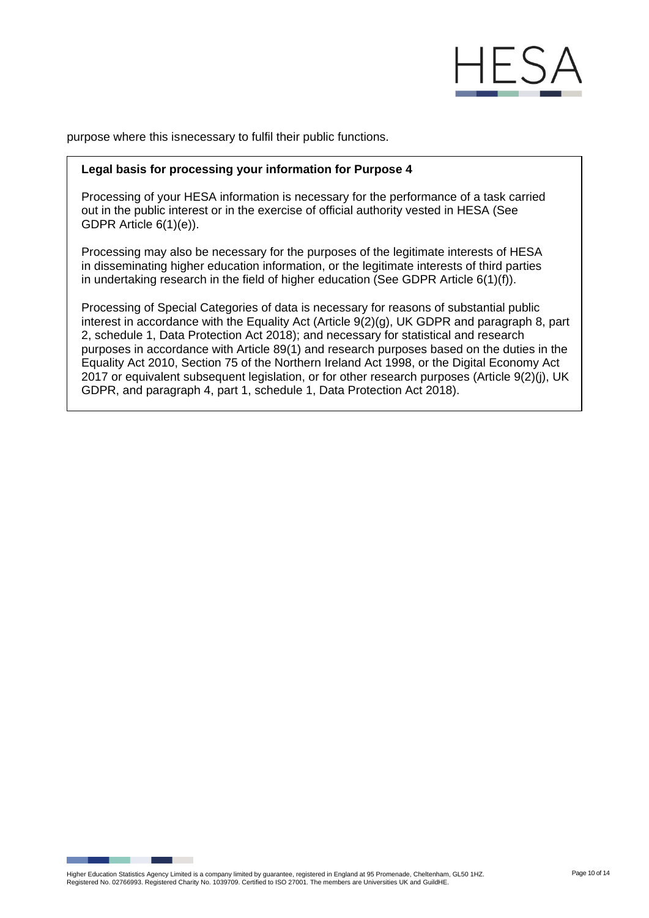

purpose where this isnecessary to fulfil their public functions.

#### **Legal basis for processing your information for Purpose 4**

Processing of your HESA information is necessary for the performance of a task carried out in the public interest or in the exercise of official authority vested in HESA (See GDPR Article 6(1)(e)).

Processing may also be necessary for the purposes of the legitimate interests of HESA in disseminating higher education information, or the legitimate interests of third parties in undertaking research in the field of higher education (See GDPR Article 6(1)(f)).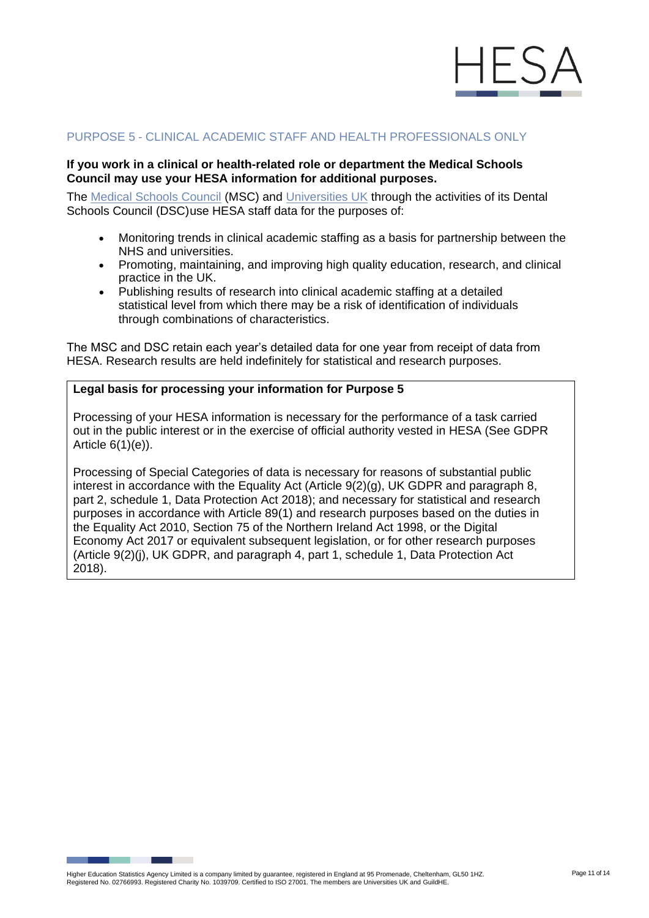

### PURPOSE 5 - CLINICAL ACADEMIC STAFF AND HEALTH PROFESSIONALS ONLY

#### **If you work in a clinical or health-related role or department the Medical Schools Council may use your HESA information for additional purposes.**

The [Medical Schools Council](https://www.medschools.ac.uk/privacy-statement) (MSC) and [Universities UK](https://www.universitiesuk.ac.uk/Pages/privacy-notice.aspx) through the activities of its Dental Schools Council (DSC)use HESA staff data for the purposes of:

- Monitoring trends in clinical academic staffing as a basis for partnership between the NHS and universities.
- Promoting, maintaining, and improving high quality education, research, and clinical practice in the UK.
- Publishing results of research into clinical academic staffing at a detailed statistical level from which there may be a risk of identification of individuals through combinations of characteristics.

The MSC and DSC retain each year's detailed data for one year from receipt of data from HESA. Research results are held indefinitely for statistical and research purposes.

#### **Legal basis for processing your information for Purpose 5**

Processing of your HESA information is necessary for the performance of a task carried out in the public interest or in the exercise of official authority vested in HESA (See GDPR Article 6(1)(e)).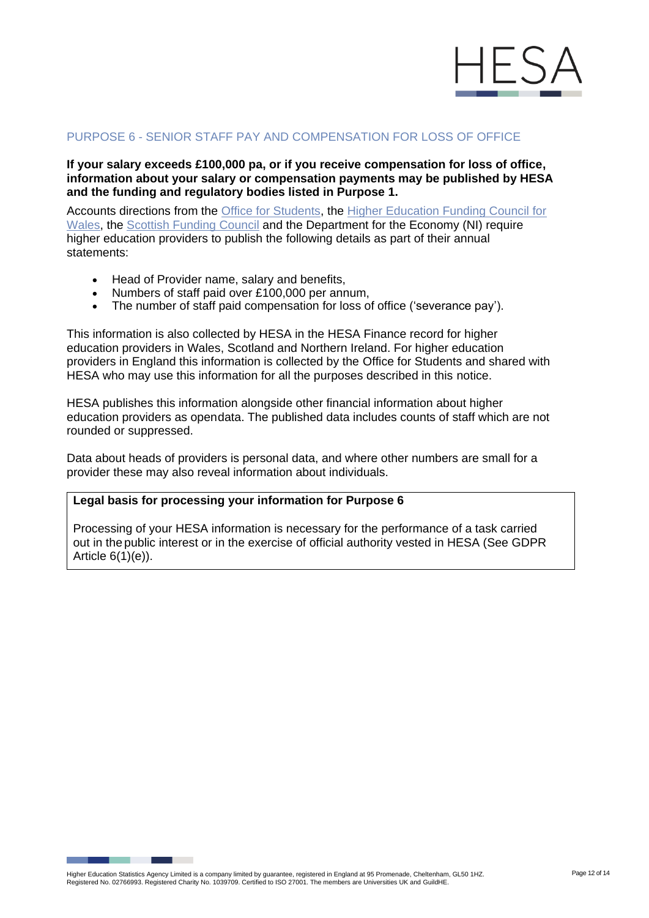

# PURPOSE 6 - SENIOR STAFF PAY AND COMPENSATION FOR LOSS OF OFFICE

**If your salary exceeds £100,000 pa, or if you receive compensation for loss of office, information about your salary or compensation payments may be published by HESA and the funding and regulatory bodies listed in Purpose 1.**

Accounts directions from the [Office for Students, t](https://www.officeforstudents.org.uk/media/b846fd9c-211a-43ec-8e60-d14bb0ea31b1/ofs2018_26_amended.pdf)he [Higher Education Funding Council for](https://www.hefcw.ac.uk/wp-content/uploads/2020/09/W18-19HE-Accounts-Direction-to-Higher-Education-Institutions-for-2017-18.pdf)  [Wales, t](https://www.hefcw.ac.uk/wp-content/uploads/2020/09/W18-19HE-Accounts-Direction-to-Higher-Education-Institutions-for-2017-18.pdf)he [Scottish Funding Council](https://www.sfc.ac.uk/nmsruntime/saveasdialog.aspx?lID=22258&sID=13791) and the Department for the Economy (NI) require higher education providers to publish the following details as part of their annual statements:

- Head of Provider name, salary and benefits,
- Numbers of staff paid over £100,000 per annum,
- The number of staff paid compensation for loss of office ('severance pay').

This information is also collected by HESA in the HESA Finance record for higher education providers in Wales, Scotland and Northern Ireland. For higher education providers in England this information is collected by the Office for Students and shared with HESA who may use this information for all the purposes described in this notice.

HESA publishes this information alongside other financial information about higher education providers as opendata. The published data includes counts of staff which are not rounded or suppressed.

Data about heads of providers is personal data, and where other numbers are small for a provider these may also reveal information about individuals.

# **Legal basis for processing your information for Purpose 6**

Processing of your HESA information is necessary for the performance of a task carried out in the public interest or in the exercise of official authority vested in HESA (See GDPR Article 6(1)(e)).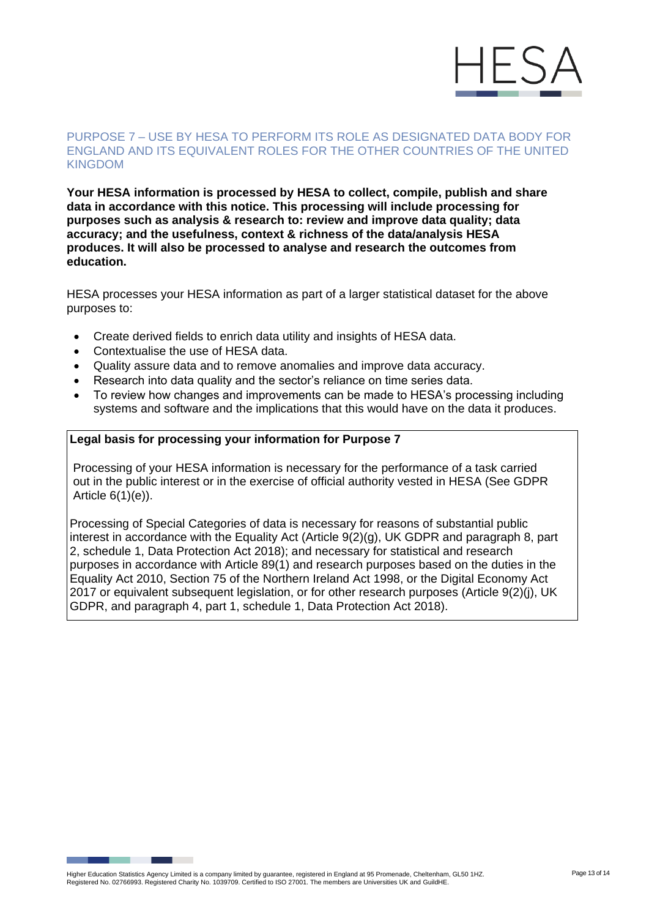

#### PURPOSE 7 – USE BY HESA TO PERFORM ITS ROLE AS DESIGNATED DATA BODY FOR ENGLAND AND ITS EQUIVALENT ROLES FOR THE OTHER COUNTRIES OF THE UNITED KINGDOM

**Your HESA information is processed by HESA to collect, compile, publish and share data in accordance with this notice. This processing will include processing for purposes such as analysis & research to: review and improve data quality; data accuracy; and the usefulness, context & richness of the data/analysis HESA produces. It will also be processed to analyse and research the outcomes from education.**

HESA processes your HESA information as part of a larger statistical dataset for the above purposes to:

- Create derived fields to enrich data utility and insights of HESA data.
- Contextualise the use of HESA data.
- Quality assure data and to remove anomalies and improve data accuracy.
- Research into data quality and the sector's reliance on time series data.
- To review how changes and improvements can be made to HESA's processing including systems and software and the implications that this would have on the data it produces.

# **Legal basis for processing your information for Purpose 7**

Processing of your HESA information is necessary for the performance of a task carried out in the public interest or in the exercise of official authority vested in HESA (See GDPR Article 6(1)(e)).

Processing of Special Categories of data is necessary for reasons of substantial public interest in accordance with the Equality Act (Article 9(2)(g), UK GDPR and paragraph 8, part 2, schedule 1, Data Protection Act 2018); and necessary for statistical and research purposes in accordance with Article 89(1) and research purposes based on the duties in the Equality Act 2010, Section 75 of the Northern Ireland Act 1998, or the Digital Economy Act 2017 or equivalent subsequent legislation, or for other research purposes (Article 9(2)(j), UK GDPR, and paragraph 4, part 1, schedule 1, Data Protection Act 2018).